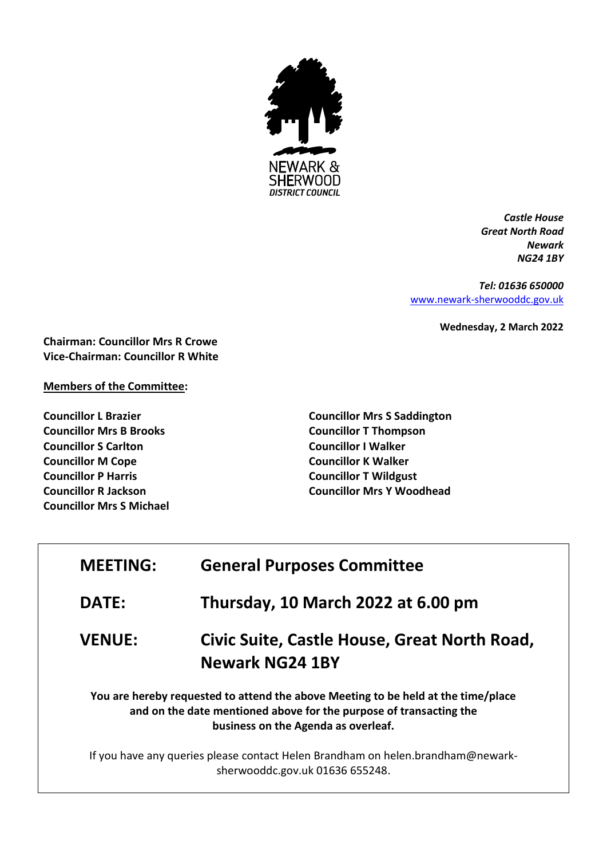

*Castle House Great North Road Newark NG24 1BY*

*Tel: 01636 650000* [www.newark-sherwooddc.gov.uk](http://www.newark-sherwooddc.gov.uk/)

**Wednesday, 2 March 2022**

**Chairman: Councillor Mrs R Crowe Vice-Chairman: Councillor R White**

## **Members of the Committee:**

**Councillor L Brazier Councillor Mrs B Brooks Councillor S Carlton Councillor M Cope Councillor P Harris Councillor R Jackson Councillor Mrs S Michael** **Councillor Mrs S Saddington Councillor T Thompson Councillor I Walker Councillor K Walker Councillor T Wildgust Councillor Mrs Y Woodhead**

| <b>MEETING:</b>                                                                                                                                                                                | <b>General Purposes Committee</b>                                      |  |
|------------------------------------------------------------------------------------------------------------------------------------------------------------------------------------------------|------------------------------------------------------------------------|--|
| <b>DATE:</b>                                                                                                                                                                                   | Thursday, 10 March 2022 at 6.00 pm                                     |  |
| <b>VENUE:</b>                                                                                                                                                                                  | Civic Suite, Castle House, Great North Road,<br><b>Newark NG24 1BY</b> |  |
| You are hereby requested to attend the above Meeting to be held at the time/place<br>and on the date mentioned above for the purpose of transacting the<br>business on the Agenda as overleaf. |                                                                        |  |
| If you have any queries please contact Helen Brandham on helen.brandham@newark-<br>sherwooddc.gov.uk 01636 655248.                                                                             |                                                                        |  |